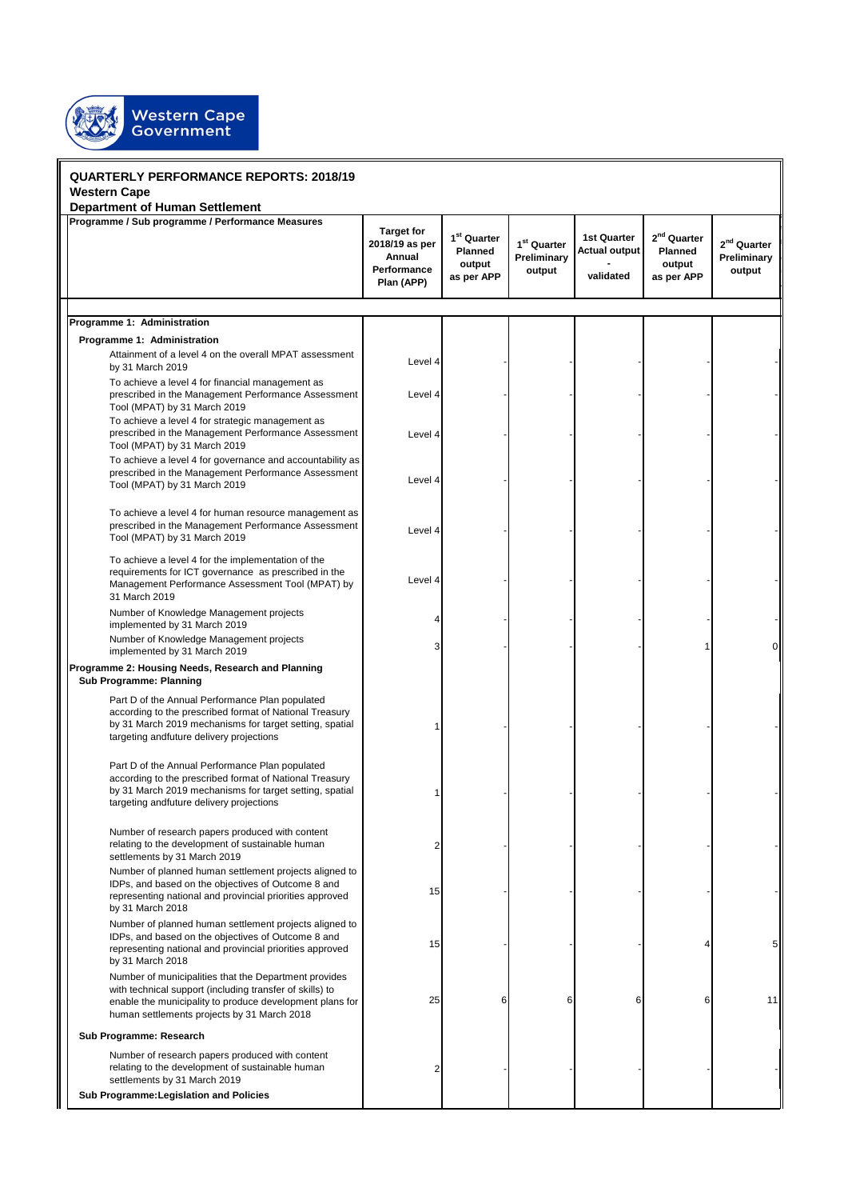

| <b>QUARTERLY PERFORMANCE REPORTS: 2018/19</b>                                                                                                                                                                                |                                                                            |                                                            |                                                  |                                                         |                                                                   |                                        |
|------------------------------------------------------------------------------------------------------------------------------------------------------------------------------------------------------------------------------|----------------------------------------------------------------------------|------------------------------------------------------------|--------------------------------------------------|---------------------------------------------------------|-------------------------------------------------------------------|----------------------------------------|
| <b>Western Cape</b>                                                                                                                                                                                                          |                                                                            |                                                            |                                                  |                                                         |                                                                   |                                        |
| <b>Department of Human Settlement</b><br>Programme / Sub programme / Performance Measures                                                                                                                                    | <b>Target for</b><br>2018/19 as per<br>Annual<br>Performance<br>Plan (APP) | 1 <sup>st</sup> Quarter<br>Planned<br>output<br>as per APP | 1 <sup>st</sup> Quarter<br>Preliminary<br>output | <b>1st Quarter</b><br><b>Actual output</b><br>validated | 2 <sup>nd</sup> Quarter<br><b>Planned</b><br>output<br>as per APP | $2nd$ Quarter<br>Preliminary<br>output |
|                                                                                                                                                                                                                              |                                                                            |                                                            |                                                  |                                                         |                                                                   |                                        |
| Programme 1: Administration                                                                                                                                                                                                  |                                                                            |                                                            |                                                  |                                                         |                                                                   |                                        |
| Programme 1: Administration                                                                                                                                                                                                  |                                                                            |                                                            |                                                  |                                                         |                                                                   |                                        |
| Attainment of a level 4 on the overall MPAT assessment<br>by 31 March 2019                                                                                                                                                   | Level 4                                                                    |                                                            |                                                  |                                                         |                                                                   |                                        |
| To achieve a level 4 for financial management as<br>prescribed in the Management Performance Assessment<br>Tool (MPAT) by 31 March 2019                                                                                      | Level 4                                                                    |                                                            |                                                  |                                                         |                                                                   |                                        |
| To achieve a level 4 for strategic management as<br>prescribed in the Management Performance Assessment<br>Tool (MPAT) by 31 March 2019                                                                                      | Level 4                                                                    |                                                            |                                                  |                                                         |                                                                   |                                        |
| To achieve a level 4 for governance and accountability as<br>prescribed in the Management Performance Assessment<br>Tool (MPAT) by 31 March 2019                                                                             | Level 4                                                                    |                                                            |                                                  |                                                         |                                                                   |                                        |
| To achieve a level 4 for human resource management as<br>prescribed in the Management Performance Assessment<br>Tool (MPAT) by 31 March 2019                                                                                 | Level 4                                                                    |                                                            |                                                  |                                                         |                                                                   |                                        |
| To achieve a level 4 for the implementation of the<br>requirements for ICT governance as prescribed in the<br>Management Performance Assessment Tool (MPAT) by<br>31 March 2019                                              | Level 4                                                                    |                                                            |                                                  |                                                         |                                                                   |                                        |
| Number of Knowledge Management projects<br>implemented by 31 March 2019                                                                                                                                                      |                                                                            |                                                            |                                                  |                                                         |                                                                   |                                        |
| Number of Knowledge Management projects<br>implemented by 31 March 2019                                                                                                                                                      |                                                                            |                                                            |                                                  |                                                         |                                                                   | 0                                      |
| Programme 2: Housing Needs, Research and Planning<br><b>Sub Programme: Planning</b>                                                                                                                                          |                                                                            |                                                            |                                                  |                                                         |                                                                   |                                        |
| Part D of the Annual Performance Plan populated<br>according to the prescribed format of National Treasury<br>by 31 March 2019 mechanisms for target setting, spatial<br>targeting andfuture delivery projections            |                                                                            |                                                            |                                                  |                                                         |                                                                   |                                        |
| Part D of the Annual Performance Plan populated<br>according to the prescribed format of National Treasury<br>by 31 March 2019 mechanisms for target setting, spatial<br>targeting andfuture delivery projections            |                                                                            |                                                            |                                                  |                                                         |                                                                   |                                        |
| Number of research papers produced with content<br>relating to the development of sustainable human<br>settlements by 31 March 2019                                                                                          |                                                                            |                                                            |                                                  |                                                         |                                                                   |                                        |
| Number of planned human settlement projects aligned to<br>IDPs, and based on the objectives of Outcome 8 and<br>representing national and provincial priorities approved<br>by 31 March 2018                                 | 15                                                                         |                                                            |                                                  |                                                         |                                                                   |                                        |
| Number of planned human settlement projects aligned to<br>IDPs, and based on the objectives of Outcome 8 and<br>representing national and provincial priorities approved<br>by 31 March 2018                                 | 15                                                                         |                                                            |                                                  |                                                         |                                                                   | 5                                      |
| Number of municipalities that the Department provides<br>with technical support (including transfer of skills) to<br>enable the municipality to produce development plans for<br>human settlements projects by 31 March 2018 | 25                                                                         | 6                                                          |                                                  |                                                         | 6                                                                 | 11                                     |
| Sub Programme: Research                                                                                                                                                                                                      |                                                                            |                                                            |                                                  |                                                         |                                                                   |                                        |
| Number of research papers produced with content<br>relating to the development of sustainable human<br>settlements by 31 March 2019                                                                                          |                                                                            |                                                            |                                                  |                                                         |                                                                   |                                        |
| Sub Programme: Legislation and Policies                                                                                                                                                                                      |                                                                            |                                                            |                                                  |                                                         |                                                                   |                                        |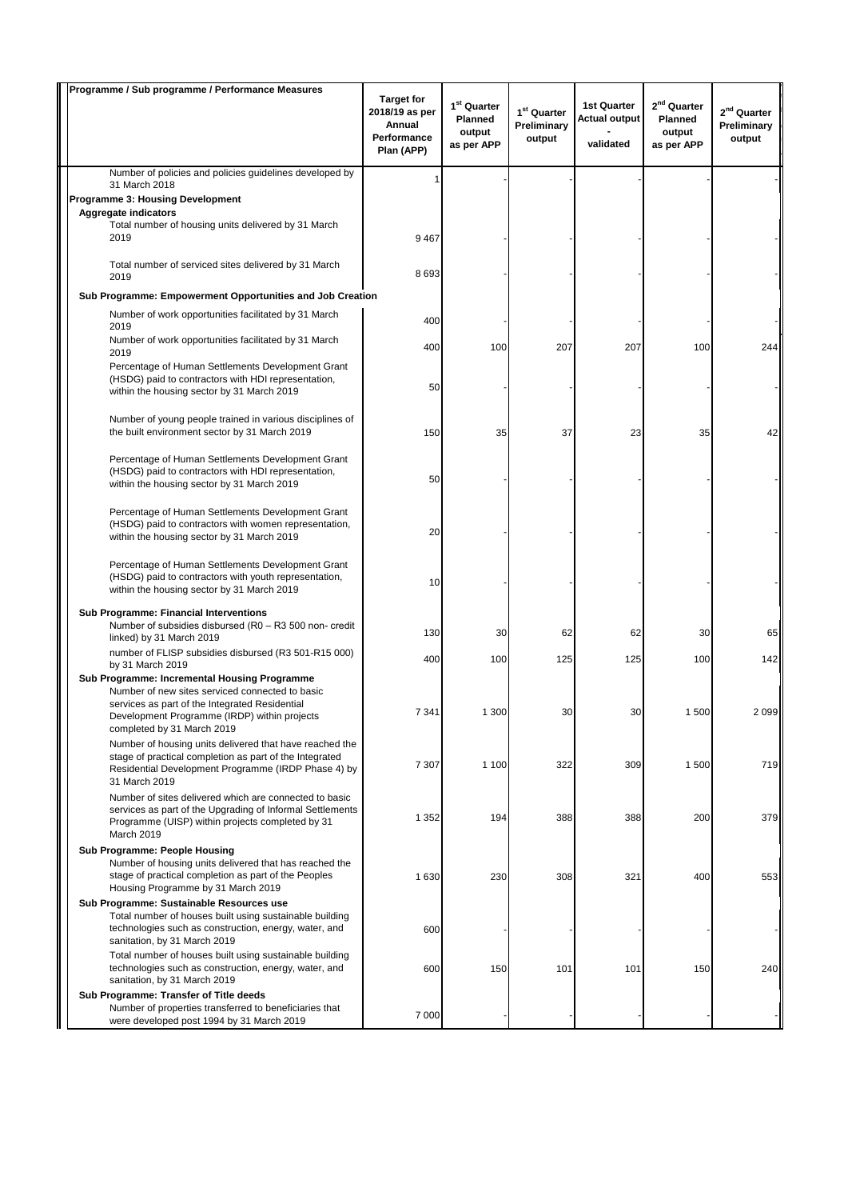| Programme / Sub programme / Performance Measures                                                                                                                                                                                       |                                                                            |                                                                   |                                        |                                                         |                                                            |                                        |
|----------------------------------------------------------------------------------------------------------------------------------------------------------------------------------------------------------------------------------------|----------------------------------------------------------------------------|-------------------------------------------------------------------|----------------------------------------|---------------------------------------------------------|------------------------------------------------------------|----------------------------------------|
|                                                                                                                                                                                                                                        | <b>Target for</b><br>2018/19 as per<br>Annual<br>Performance<br>Plan (APP) | 1 <sup>st</sup> Quarter<br><b>Planned</b><br>output<br>as per APP | $1st$ Quarter<br>Preliminary<br>output | <b>1st Quarter</b><br><b>Actual output</b><br>validated | 2 <sup>nd</sup> Quarter<br>Planned<br>output<br>as per APP | $2nd$ Quarter<br>Preliminary<br>output |
| Number of policies and policies guidelines developed by                                                                                                                                                                                |                                                                            |                                                                   |                                        |                                                         |                                                            |                                        |
| 31 March 2018<br>Programme 3: Housing Development                                                                                                                                                                                      |                                                                            |                                                                   |                                        |                                                         |                                                            |                                        |
| <b>Aggregate indicators</b>                                                                                                                                                                                                            |                                                                            |                                                                   |                                        |                                                         |                                                            |                                        |
| Total number of housing units delivered by 31 March<br>2019                                                                                                                                                                            | 9 4 6 7                                                                    |                                                                   |                                        |                                                         |                                                            |                                        |
| Total number of serviced sites delivered by 31 March<br>2019                                                                                                                                                                           | 8693                                                                       |                                                                   |                                        |                                                         |                                                            |                                        |
| Sub Programme: Empowerment Opportunities and Job Creation                                                                                                                                                                              |                                                                            |                                                                   |                                        |                                                         |                                                            |                                        |
| Number of work opportunities facilitated by 31 March<br>2019                                                                                                                                                                           | 400                                                                        |                                                                   |                                        |                                                         |                                                            |                                        |
| Number of work opportunities facilitated by 31 March<br>2019                                                                                                                                                                           | 400                                                                        | 100                                                               | 207                                    | 207                                                     | 100                                                        | 244                                    |
| Percentage of Human Settlements Development Grant<br>(HSDG) paid to contractors with HDI representation,<br>within the housing sector by 31 March 2019                                                                                 | 50                                                                         |                                                                   |                                        |                                                         |                                                            |                                        |
| Number of young people trained in various disciplines of<br>the built environment sector by 31 March 2019                                                                                                                              | 150                                                                        | 35                                                                | 37                                     | 23                                                      | 35                                                         | 42                                     |
| Percentage of Human Settlements Development Grant<br>(HSDG) paid to contractors with HDI representation,<br>within the housing sector by 31 March 2019                                                                                 | 50                                                                         |                                                                   |                                        |                                                         |                                                            |                                        |
| Percentage of Human Settlements Development Grant<br>(HSDG) paid to contractors with women representation,<br>within the housing sector by 31 March 2019                                                                               | 20                                                                         |                                                                   |                                        |                                                         |                                                            |                                        |
| Percentage of Human Settlements Development Grant<br>(HSDG) paid to contractors with youth representation,<br>within the housing sector by 31 March 2019                                                                               | 10                                                                         |                                                                   |                                        |                                                         |                                                            |                                        |
| <b>Sub Programme: Financial Interventions</b><br>Number of subsidies disbursed (R0 - R3 500 non- credit<br>linked) by 31 March 2019                                                                                                    | 130                                                                        | 30                                                                | 62                                     | 62                                                      | 30                                                         | 65                                     |
| number of FLISP subsidies disbursed (R3 501-R15 000)<br>by 31 March 2019                                                                                                                                                               | 400                                                                        | 100                                                               | 125                                    | 125                                                     | 100                                                        | 142                                    |
| <b>Sub Programme: Incremental Housing Programme</b><br>Number of new sites serviced connected to basic<br>services as part of the Integrated Residential<br>Development Programme (IRDP) within projects<br>completed by 31 March 2019 | 7 3 4 1                                                                    | 1 300                                                             | 30                                     | 30                                                      | 1500                                                       | 2099                                   |
| Number of housing units delivered that have reached the<br>stage of practical completion as part of the Integrated<br>Residential Development Programme (IRDP Phase 4) by<br>31 March 2019                                             | 7 3 0 7                                                                    | 1 100                                                             | 322                                    | 309                                                     | 1 500                                                      | 719                                    |
| Number of sites delivered which are connected to basic<br>services as part of the Upgrading of Informal Settlements<br>Programme (UISP) within projects completed by 31<br>March 2019                                                  | 1 352                                                                      | 194                                                               | 388                                    | 388                                                     | 200                                                        | 379                                    |
| <b>Sub Programme: People Housing</b><br>Number of housing units delivered that has reached the<br>stage of practical completion as part of the Peoples<br>Housing Programme by 31 March 2019                                           | 1 630                                                                      | 230                                                               | 308                                    | 321                                                     | 400                                                        | 553                                    |
| Sub Programme: Sustainable Resources use<br>Total number of houses built using sustainable building<br>technologies such as construction, energy, water, and<br>sanitation, by 31 March 2019                                           | 600                                                                        |                                                                   |                                        |                                                         |                                                            |                                        |
| Total number of houses built using sustainable building<br>technologies such as construction, energy, water, and<br>sanitation, by 31 March 2019                                                                                       | 600                                                                        | 150                                                               | 101                                    | 101                                                     | 150                                                        | 240                                    |
| Sub Programme: Transfer of Title deeds<br>Number of properties transferred to beneficiaries that<br>were developed post 1994 by 31 March 2019                                                                                          | 7 0 0 0                                                                    |                                                                   |                                        |                                                         |                                                            |                                        |